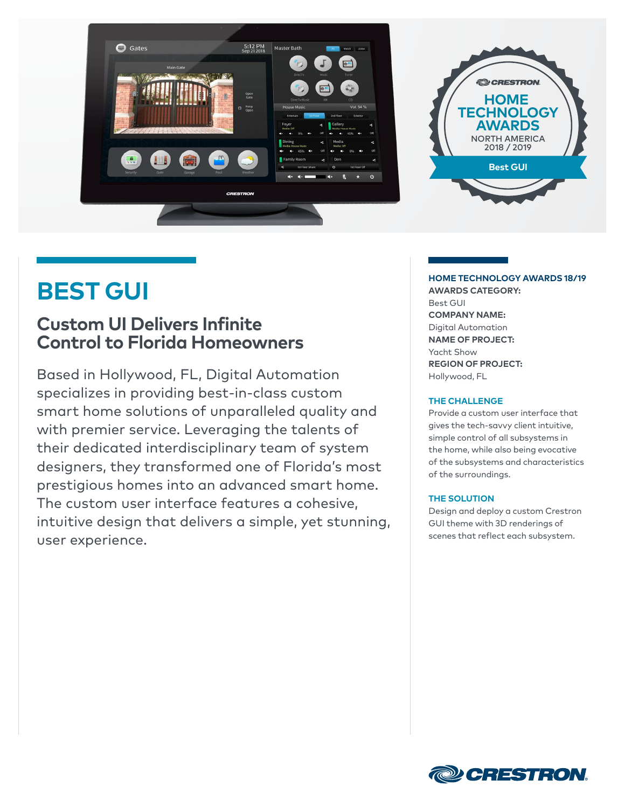

### **BEST GUI**

### **Custom UI Delivers Infinite Control to Florida Homeowners**

Based in Hollywood, FL, Digital Automation specializes in providing best-in-class custom smart home solutions of unparalleled quality and with premier service. Leveraging the talents of their dedicated interdisciplinary team of system designers, they transformed one of Florida's most prestigious homes into an advanced smart home. The custom user interface features a cohesive, intuitive design that delivers a simple, yet stunning, user experience.

#### **HOME TECHNOLOGY AWARDS 18/19**

**AWARDS CATEGORY:** Best GUI **COMPANY NAME:**  Digital Automation **NAME OF PROJECT:**  Yacht Show **REGION OF PROJECT:**  Hollywood, FL

#### **THE CHALLENGE**

Provide a custom user interface that gives the tech-savvy client intuitive, simple control of all subsystems in the home, while also being evocative of the subsystems and characteristics of the surroundings.

#### **THE SOLUTION**

Design and deploy a custom Crestron GUI theme with 3D renderings of scenes that reflect each subsystem.

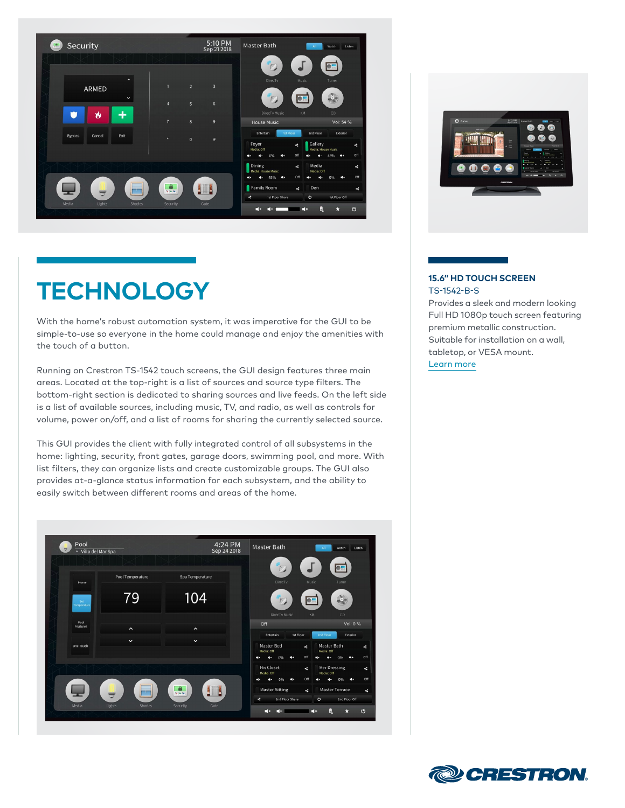

# **TECHNOLOGY**

With the home's robust automation system, it was imperative for the GUI to be simple-to-use so everyone in the home could manage and enjoy the amenities with the touch of a button.

Running on Crestron TS-1542 touch screens, the GUI design features three main areas. Located at the top-right is a list of sources and source type filters. The bottom-right section is dedicated to sharing sources and live feeds. On the left side is a list of available sources, including music, TV, and radio, as well as controls for volume, power on/off, and a list of rooms for sharing the currently selected source.

This GUI provides the client with fully integrated control of all subsystems in the home: lighting, security, front gates, garage doors, swimming pool, and more. With list filters, they can organize lists and create customizable groups. The GUI also provides at-a-glance status information for each subsystem, and the ability to easily switch between different rooms and areas of the home.





#### **15.6" HD TOUCH SCREEN** TS-1542-B-S

Provides a sleek and modern looking Full HD 1080p touch screen featuring premium metallic construction. Suitable for installation on a wall, tabletop, or VESA mount. [Learn more](https://www.crestron.com/Products/Control-Surfaces/Touch-Screens/Extra-Large-Touch-Screens/TS-1542-B-S)